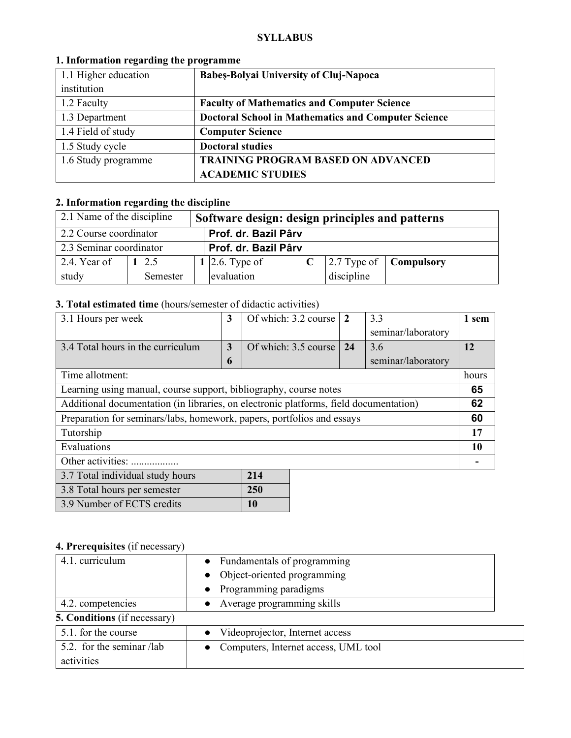#### **SYLLABUS**

| 1.1 Higher education | <b>Babes-Bolyai University of Cluj-Napoca</b>              |
|----------------------|------------------------------------------------------------|
| institution          |                                                            |
| 1.2 Faculty          | <b>Faculty of Mathematics and Computer Science</b>         |
| 1.3 Department       | <b>Doctoral School in Mathematics and Computer Science</b> |
| 1.4 Field of study   | <b>Computer Science</b>                                    |
| 1.5 Study cycle      | <b>Doctoral studies</b>                                    |
| 1.6 Study programme  | <b>TRAINING PROGRAM BASED ON ADVANCED</b>                  |
|                      | <b>ACADEMIC STUDIES</b>                                    |

## **1. Information regarding the programme**

# **2. Information regarding the discipline**

| 2.1 Name of the discipline |                      |          |  | Software design: design principles and patterns |  |            |                                               |  |  |
|----------------------------|----------------------|----------|--|-------------------------------------------------|--|------------|-----------------------------------------------|--|--|
| 2.2 Course coordinator     | Prof. dr. Bazil Pârv |          |  |                                                 |  |            |                                               |  |  |
| 2.3 Seminar coordinator    |                      |          |  | Prof. dr. Bazil Pârv                            |  |            |                                               |  |  |
| 2.4. Year of               |                      | 2.5      |  | 1 2.6. Type of                                  |  |            | $\vert$ 2.7 Type of $\vert$ <b>Compulsory</b> |  |  |
| study                      |                      | Semester |  | evaluation                                      |  | discipline |                                               |  |  |

## **3. Total estimated time** (hours/semester of didactic activities)

| 3.1 Hours per week                                                                    | 3           | Of which: 3.2 course | $\overline{2}$ | 3.3                | 1 sem |
|---------------------------------------------------------------------------------------|-------------|----------------------|----------------|--------------------|-------|
|                                                                                       |             |                      |                | seminar/laboratory |       |
| 3.4 Total hours in the curriculum                                                     | 3           | Of which: 3.5 course | 24             | 3.6                | 12    |
|                                                                                       | $\mathbf b$ |                      |                | seminar/laboratory |       |
| Time allotment:                                                                       |             |                      |                |                    |       |
| Learning using manual, course support, bibliography, course notes                     |             |                      |                |                    |       |
| Additional documentation (in libraries, on electronic platforms, field documentation) |             |                      |                |                    |       |
| Preparation for seminars/labs, homework, papers, portfolios and essays                |             |                      |                |                    |       |
| Tutorship                                                                             |             |                      |                |                    |       |
| Evaluations                                                                           |             |                      |                |                    | 10    |
| Other activities:                                                                     |             |                      |                |                    |       |
| 3.7 Total individual study hours<br>214                                               |             |                      |                |                    |       |

| 3.8 Total hours per semester | <b>250</b> |
|------------------------------|------------|
| 3.9 Number of ECTS credits   | $\vert$ 10 |

# **4. Prerequisites** (if necessary)

| 4.1. curriculum                     | Fundamentals of programming<br>$\bullet$ |  |  |  |
|-------------------------------------|------------------------------------------|--|--|--|
|                                     | Object-oriented programming              |  |  |  |
|                                     | Programming paradigms                    |  |  |  |
| 4.2. competencies                   | Average programming skills               |  |  |  |
| <b>5. Conditions</b> (if necessary) |                                          |  |  |  |
| 5.1. for the course                 | • Videoprojector, Internet access        |  |  |  |
| 5.2. for the seminar /lab           | • Computers, Internet access, UML tool   |  |  |  |
| activities                          |                                          |  |  |  |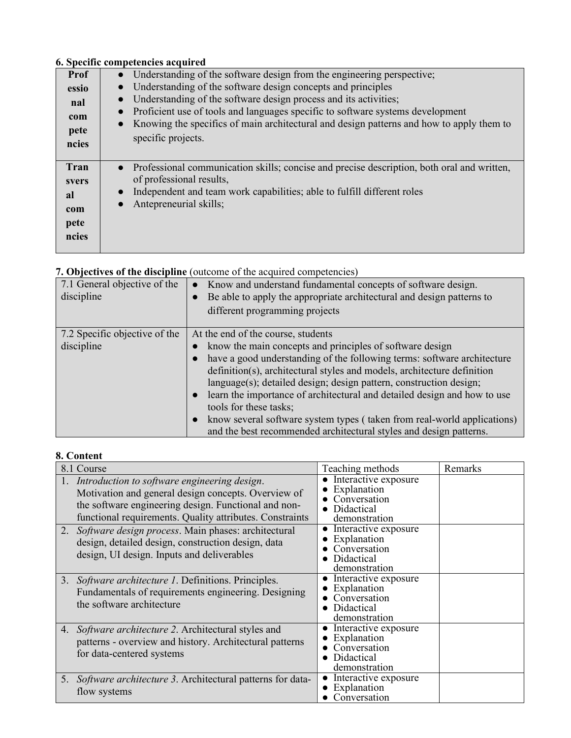## **6. Specific competencies acquired**

|       | o, opeenie competencies acquirea                                                                        |
|-------|---------------------------------------------------------------------------------------------------------|
| Prof  | Understanding of the software design from the engineering perspective;<br>$\bullet$                     |
| essio | Understanding of the software design concepts and principles<br>$\bullet$                               |
| nal   | Understanding of the software design process and its activities;<br>$\bullet$                           |
| com   | Proficient use of tools and languages specific to software systems development<br>$\bullet$             |
| pete  | Knowing the specifics of main architectural and design patterns and how to apply them to<br>$\bullet$   |
|       | specific projects.                                                                                      |
| ncies |                                                                                                         |
| Tran  |                                                                                                         |
|       | Professional communication skills; concise and precise description, both oral and written,<br>$\bullet$ |
| svers | of professional results,                                                                                |
| al    | Independent and team work capabilities; able to fulfill different roles<br>$\bullet$                    |
| com   | Antepreneurial skills;<br>$\bullet$                                                                     |
| pete  |                                                                                                         |
|       |                                                                                                         |
| ncies |                                                                                                         |
|       |                                                                                                         |

|                               | $\alpha$ . Objectives of the urscipline (outcome of the acquired competencies)        |
|-------------------------------|---------------------------------------------------------------------------------------|
| 7.1 General objective of the  | • Know and understand fundamental concepts of software design.                        |
| discipline                    | Be able to apply the appropriate architectural and design patterns to<br>$\bullet$    |
|                               | different programming projects                                                        |
|                               |                                                                                       |
| 7.2 Specific objective of the | At the end of the course, students                                                    |
| discipline                    | know the main concepts and principles of software design                              |
|                               | have a good understanding of the following terms: software architecture<br>$\bullet$  |
|                               | definition(s), architectural styles and models, architecture definition               |
|                               | $language(s);$ detailed design; design pattern, construction design;                  |
|                               | learn the importance of architectural and detailed design and how to use<br>$\bullet$ |
|                               | tools for these tasks;                                                                |
|                               | know several software system types (taken from real-world applications)<br>$\bullet$  |
|                               | and the best recommended architectural styles and design patterns.                    |

# **7. Objectives of the discipline** (outcome of the acquired competencies)

# **8. Content**

| 8.1 Course                                                                                                                                                                                                                                                                                                                                                                               | Teaching methods                                                                                                                                                           | Remarks |
|------------------------------------------------------------------------------------------------------------------------------------------------------------------------------------------------------------------------------------------------------------------------------------------------------------------------------------------------------------------------------------------|----------------------------------------------------------------------------------------------------------------------------------------------------------------------------|---------|
| 1. Introduction to software engineering design.<br>Motivation and general design concepts. Overview of<br>the software engineering design. Functional and non-<br>functional requirements. Quality attributes. Constraints<br>2. Software design process. Main phases: architectural<br>design, detailed design, construction design, data<br>design, UI design. Inputs and deliverables | • Interactive exposure<br>Explanation<br>Conversation<br>Didactical<br>demonstration<br>Interactive exposure<br>Explanation<br>Conversation<br>Didactical<br>demonstration |         |
| 3. Software architecture 1. Definitions. Principles.<br>Fundamentals of requirements engineering. Designing<br>the software architecture                                                                                                                                                                                                                                                 | Interactive exposure<br>Explanation<br>Conversation<br>• Didactical<br>demonstration                                                                                       |         |
| 4. Software architecture 2. Architectural styles and<br>patterns - overview and history. Architectural patterns<br>for data-centered systems                                                                                                                                                                                                                                             | Interactive exposure<br>Explanation<br>Conversation<br>Didactical<br>demonstration                                                                                         |         |
| 5. Software architecture 3. Architectural patterns for data-<br>flow systems                                                                                                                                                                                                                                                                                                             | Interactive exposure<br>Explanation<br>Conversation                                                                                                                        |         |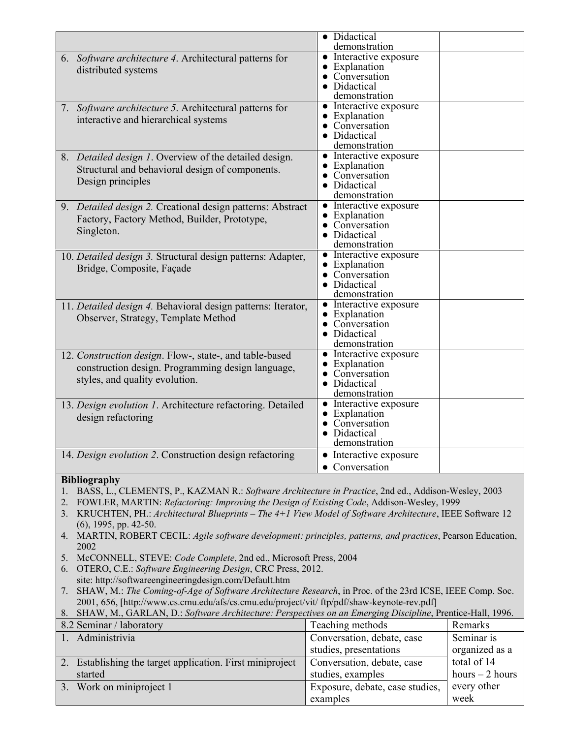|                                                                                                                            | • Didactical                            |                  |
|----------------------------------------------------------------------------------------------------------------------------|-----------------------------------------|------------------|
|                                                                                                                            | demonstration                           |                  |
| 6. Software architecture 4. Architectural patterns for                                                                     | • Interactive exposure<br>• Explanation |                  |
| distributed systems                                                                                                        | Conversation                            |                  |
|                                                                                                                            | Didactical                              |                  |
|                                                                                                                            | demonstration                           |                  |
| Software architecture 5. Architectural patterns for<br>7.                                                                  | • Interactive exposure                  |                  |
| interactive and hierarchical systems                                                                                       | • Explanation                           |                  |
|                                                                                                                            | Conversation                            |                  |
|                                                                                                                            | • Didactical<br>demonstration           |                  |
| 8. Detailed design 1. Overview of the detailed design.                                                                     | • Interactive exposure                  |                  |
|                                                                                                                            | • Explanation                           |                  |
| Structural and behavioral design of components.                                                                            | • Conversation                          |                  |
| Design principles                                                                                                          | • Didactical                            |                  |
|                                                                                                                            | demonstration                           |                  |
| 9. Detailed design 2. Creational design patterns: Abstract                                                                 | • Interactive exposure                  |                  |
| Factory, Factory Method, Builder, Prototype,                                                                               | • Explanation                           |                  |
| Singleton.                                                                                                                 | • Conversation<br>• Didactical          |                  |
|                                                                                                                            | demonstration                           |                  |
| 10. Detailed design 3. Structural design patterns: Adapter,                                                                | • Interactive exposure                  |                  |
| Bridge, Composite, Façade                                                                                                  | • Explanation                           |                  |
|                                                                                                                            | • Conversation                          |                  |
|                                                                                                                            | • Didactical                            |                  |
|                                                                                                                            | demonstration                           |                  |
| 11. Detailed design 4. Behavioral design patterns: Iterator,                                                               | • Interactive exposure<br>• Explanation |                  |
| Observer, Strategy, Template Method                                                                                        | • Conversation                          |                  |
|                                                                                                                            | • Didactical                            |                  |
|                                                                                                                            | demonstration                           |                  |
| 12. Construction design. Flow-, state-, and table-based                                                                    | • Interactive exposure                  |                  |
| construction design. Programming design language,                                                                          | • Explanation                           |                  |
| styles, and quality evolution.                                                                                             | • Conversation                          |                  |
|                                                                                                                            | • Didactical<br>demonstration           |                  |
| 13. Design evolution 1. Architecture refactoring. Detailed                                                                 | • Interactive exposure                  |                  |
| design refactoring                                                                                                         | • Explanation                           |                  |
|                                                                                                                            | Conversation                            |                  |
|                                                                                                                            | Didactical                              |                  |
|                                                                                                                            | demonstration                           |                  |
| 14. Design evolution 2. Construction design refactoring                                                                    | • Interactive exposure                  |                  |
|                                                                                                                            | • Conversation                          |                  |
| <b>Bibliography</b>                                                                                                        |                                         |                  |
| BASS, L., CLEMENTS, P., KAZMAN R.: Software Architecture in Practice, 2nd ed., Addison-Wesley, 2003<br>1.                  |                                         |                  |
| FOWLER, MARTIN: Refactoring: Improving the Design of Existing Code, Addison-Wesley, 1999<br>2.                             |                                         |                  |
| KRUCHTEN, PH.: Architectural Blueprints – The $4+1$ View Model of Software Architecture, IEEE Software 12<br>3.            |                                         |                  |
| $(6)$ , 1995, pp. 42-50.                                                                                                   |                                         |                  |
| MARTIN, ROBERT CECIL: Agile software development: principles, patterns, and practices, Pearson Education,<br>4.            |                                         |                  |
| 2002                                                                                                                       |                                         |                  |
| McCONNELL, STEVE: Code Complete, 2nd ed., Microsoft Press, 2004<br>5.                                                      |                                         |                  |
| OTERO, C.E.: Software Engineering Design, CRC Press, 2012.<br>6.<br>site: http://softwareengineeringdesign.com/Default.htm |                                         |                  |
| SHAW, M.: The Coming-of-Age of Software Architecture Research, in Proc. of the 23rd ICSE, IEEE Comp. Soc.                  |                                         |                  |
| 7.<br>2001, 656, [http://www.cs.cmu.edu/afs/cs.cmu.edu/project/vit/ ftp/pdf/shaw-keynote-rev.pdf]                          |                                         |                  |
| SHAW, M., GARLAN, D.: Software Architecture: Perspectives on an Emerging Discipline, Prentice-Hall, 1996.<br>8.            |                                         |                  |
| 8.2 Seminar / laboratory                                                                                                   | Teaching methods                        | Remarks          |
|                                                                                                                            |                                         |                  |
| Administrivia                                                                                                              | Conversation, debate, case              | Seminar is       |
|                                                                                                                            | studies, presentations                  | organized as a   |
| 2. Establishing the target application. First miniproject                                                                  | Conversation, debate, case              | total of 14      |
| started                                                                                                                    | studies, examples                       | hours $-2$ hours |
| Work on miniproject 1<br>3.                                                                                                | Exposure, debate, case studies,         | every other      |
|                                                                                                                            | examples                                | week             |